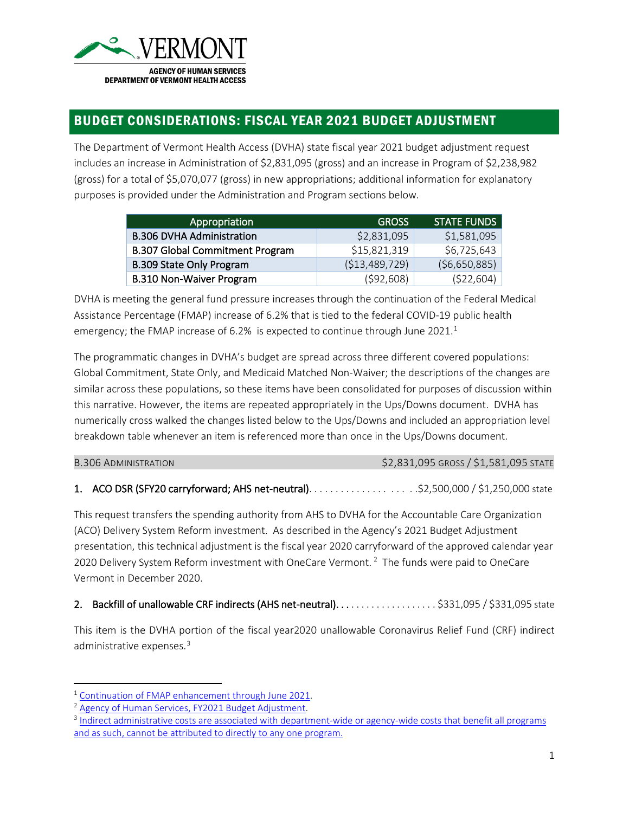

# BUDGET CONSIDERATIONS: FISCAL YEAR 2021 BUDGET ADJUSTMENT

The Department of Vermont Health Access (DVHA) state fiscal year 2021 budget adjustment request includes an increase in Administration of \$2,831,095 (gross) and an increase in Program of \$2,238,982 (gross) for a total of \$5,070,077 (gross) in new appropriations; additional information for explanatory purposes is provided under the Administration and Program sections below.

| Appropriation                          | <b>GROSS</b>    | <b>STATE FUNDS</b> |
|----------------------------------------|-----------------|--------------------|
| <b>B.306 DVHA Administration</b>       | \$2,831,095     | \$1,581,095        |
| <b>B.307 Global Commitment Program</b> | \$15,821,319    | \$6,725,643        |
| <b>B.309 State Only Program</b>        | ( \$13,489,729) | (56,650,885)       |
| <b>B.310 Non-Waiver Program</b>        | (592,608)       | (522, 604)         |

DVHA is meeting the general fund pressure increases through the continuation of the Federal Medical Assistance Percentage (FMAP) increase of 6.2% that is tied to the federal COVID-19 public health emergency; the FMAP increase of 6.2% is expected to continue through June 202[1](#page-0-0).<sup>1</sup>

The programmatic changes in DVHA's budget are spread across three different covered populations: Global Commitment, State Only, and Medicaid Matched Non-Waiver; the descriptions of the changes are similar across these populations, so these items have been consolidated for purposes of discussion within this narrative. However, the items are repeated appropriately in the Ups/Downs document. DVHA has numerically cross walked the changes listed below to the Ups/Downs and included an appropriation level breakdown table whenever an item is referenced more than once in the Ups/Downs document.

| <b>B.306 ADMINISTRATION</b> | \$2,831,095 GROSS / \$1,581,095 STATE |
|-----------------------------|---------------------------------------|
|-----------------------------|---------------------------------------|

### 1. ACO DSR (SFY20 carryforward; AHS net-neutral). . . . . . . . . . . . . . . . . . . .\$2,500,000 / \$1,250,000 state

This request transfers the spending authority from AHS to DVHA for the Accountable Care Organization (ACO) Delivery System Reform investment. As described in the Agency's 2021 Budget Adjustment presentation, this technical adjustment is the fiscal year 2020 carryforward of the approved calendar year [2](#page-0-1)020 Delivery System Reform investment with OneCare Vermont.<sup>2</sup> The funds were paid to OneCare Vermont in December 2020.

### 2. Backfill of unallowable CRF indirects (AHS net-neutral).....................\$331,095 / \$331,095 state

This item is the DVHA portion of the fiscal year2020 unallowable Coronavirus Relief Fund (CRF) indirect administrative expenses.<sup>[3](#page-0-2)</sup>

<span id="page-0-0"></span><sup>&</sup>lt;sup>1</sup> [Continuation of FMAP enhancement through June 2021.](https://legislature.vermont.gov/Documents/2022/WorkGroups/House%20Health%20Care/COVID-19/W%7ESarah%20Clark%20%7EAgency%20of%20Human%20Services%20COVID-19%20Relief%20Bill%20Presentation%7E1-20-2021.pdf)<br><sup>2</sup> [Agency of Human Services, FY2021 Budget Adjustment.](https://legislature.vermont.gov/Documents/2022/WorkGroups/House%20Health%20Care/COVID-19/W%7ESarah%20Clark%20%7EAgency%20of%20Human%20Services%20COVID-19%20Relief%20Bill%20Presentation%7E1-20-2021.pdf)

<span id="page-0-1"></span>

<span id="page-0-2"></span><sup>&</sup>lt;sup>3</sup> Indirect administrative costs are associated with department-wide or agency-wide costs that benefit all programs [and as such, cannot be attributed to directly to any one program.](https://legislature.vermont.gov/Documents/2022/WorkGroups/House%20Health%20Care/COVID-19/W%7ESarah%20Clark%20%7EAgency%20of%20Human%20Services%20COVID-19%20Relief%20Bill%20Presentation%7E1-20-2021.pdf)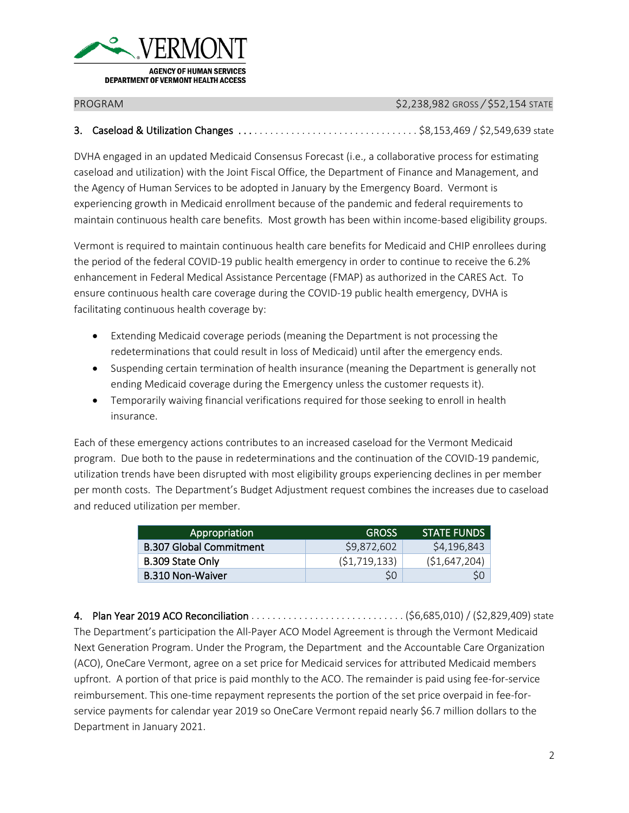

PROGRAM \$2,238,982 GROSS */* \$52,154 STATE

### 3. Caseload & Utilization Changes . . . . . . . . . . . . . . . . . . . . . . . . . . . . . . . . . . \$8,153,469 / \$2,549,639 state

DVHA engaged in an updated Medicaid Consensus Forecast (i.e., a collaborative process for estimating caseload and utilization) with the Joint Fiscal Office, the Department of Finance and Management, and the Agency of Human Services to be adopted in January by the Emergency Board. Vermont is experiencing growth in Medicaid enrollment because of the pandemic and federal requirements to maintain continuous health care benefits. Most growth has been within income-based eligibility groups.

Vermont is required to maintain continuous health care benefits for Medicaid and CHIP enrollees during the period of the federal COVID-19 public health emergency in order to continue to receive the 6.2% enhancement in Federal Medical Assistance Percentage (FMAP) as authorized in the CARES Act. To ensure continuous health care coverage during the COVID-19 public health emergency, DVHA is facilitating continuous health coverage by:

- Extending Medicaid coverage periods (meaning the Department is not processing the redeterminations that could result in loss of Medicaid) until after the emergency ends.
- Suspending certain termination of health insurance (meaning the Department is generally not ending Medicaid coverage during the Emergency unless the customer requests it).
- Temporarily waiving financial verifications required for those seeking to enroll in health insurance.

Each of these emergency actions contributes to an increased caseload for the Vermont Medicaid program. Due both to the pause in redeterminations and the continuation of the COVID-19 pandemic, utilization trends have been disrupted with most eligibility groups experiencing declines in per member per month costs. The Department's Budget Adjustment request combines the increases due to caseload and reduced utilization per member.

| Appropriation                  | <b>GROSS</b>   | <b>STATE FUNDS</b> |
|--------------------------------|----------------|--------------------|
| <b>B.307 Global Commitment</b> | \$9,872,602    | \$4,196,843        |
| B.309 State Only               | (51, 719, 133) | ( \$1,647,204)     |
| <b>B.310 Non-Waiver</b>        | SO             |                    |

4. Plan Year 2019 ACO Reconciliation . . . . . . . . . . . . . . . . . . . . . . . . . . . . . (\$6,685,010) / (\$2,829,409) state The Department's participation the All-Payer ACO Model Agreement is through the Vermont Medicaid Next Generation Program. Under the Program, the Department and the Accountable Care Organization (ACO), OneCare Vermont, agree on a set price for Medicaid services for attributed Medicaid members upfront. A portion of that price is paid monthly to the ACO. The remainder is paid using fee-for-service reimbursement. This one-time repayment represents the portion of the set price overpaid in fee-forservice payments for calendar year 2019 so OneCare Vermont repaid nearly \$6.7 million dollars to the Department in January 2021.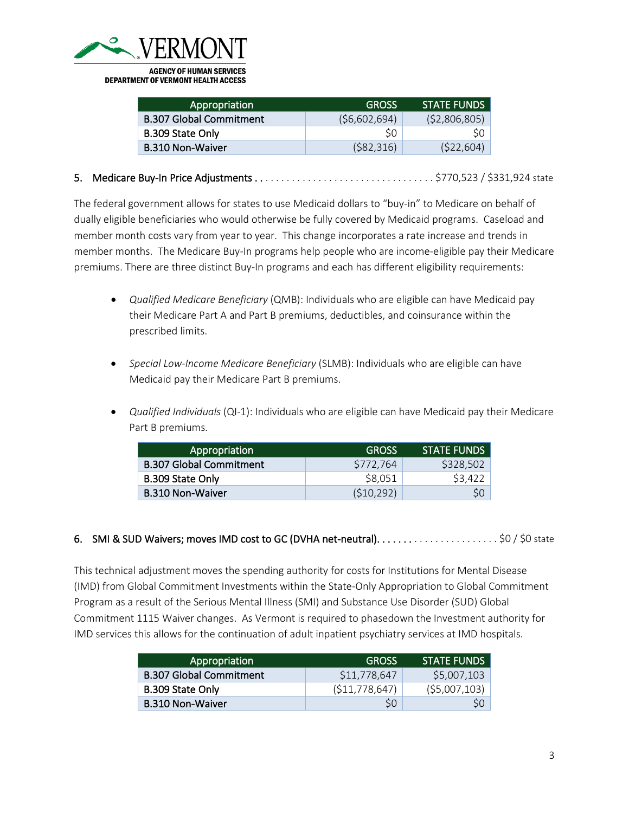

| Appropriation                  | <b>GROSS</b> | <b>STATE FUNDS</b> |
|--------------------------------|--------------|--------------------|
| <b>B.307 Global Commitment</b> | (56,602,694) | (52,806,805)       |
| B.309 State Only               | SO           |                    |
| <b>B.310 Non-Waiver</b>        | (582, 316)   | (522, 604)         |

5. Medicare Buy-In Price Adjustments . . . . . . . . . . . . . . . . . . . . . . . . . . . . . . . . . . \$770,523 / \$331,924 state

The federal government allows for states to use Medicaid dollars to "buy-in" to Medicare on behalf of dually eligible beneficiaries who would otherwise be fully covered by Medicaid programs. Caseload and member month costs vary from year to year. This change incorporates a rate increase and trends in member months. The Medicare Buy-In programs help people who are income-eligible pay their Medicare premiums. There are three distinct Buy-In programs and each has different eligibility requirements:

- *Qualified Medicare Beneficiary* (QMB): Individuals who are eligible can have Medicaid pay their Medicare Part A and Part B premiums, deductibles, and coinsurance within the prescribed limits.
- *Special Low-Income Medicare Beneficiary* (SLMB): Individuals who are eligible can have Medicaid pay their Medicare Part B premiums.
- *Qualified Individuals* (QI-1): Individuals who are eligible can have Medicaid pay their Medicare Part B premiums.

| Appropriation                  | <b>GROSS</b> | <b>STATE FUNDS</b> |
|--------------------------------|--------------|--------------------|
| <b>B.307 Global Commitment</b> | S772.764     | \$328,502          |
| B.309 State Only               | \$8,051      | S <sub>3.422</sub> |
| <b>B.310 Non-Waiver</b>        | (510, 292)   |                    |

### 6. SMI & SUD Waivers; moves IMD cost to GC (DVHA net-neutral).  $\ldots$  . . . . . . . . . . . . . . . . . . \$0 / \$0 state

This technical adjustment moves the spending authority for costs for Institutions for Mental Disease (IMD) from Global Commitment Investments within the State-Only Appropriation to Global Commitment Program as a result of the Serious Mental Illness (SMI) and Substance Use Disorder (SUD) Global Commitment 1115 Waiver changes. As Vermont is required to phasedown the Investment authority for IMD services this allows for the continuation of adult inpatient psychiatry services at IMD hospitals.

| Appropriation                  | <b>GROSS</b>    | <b>STATE FUNDS</b> |
|--------------------------------|-----------------|--------------------|
| <b>B.307 Global Commitment</b> | \$11,778,647    | \$5,007,103        |
| B.309 State Only               | (511, 778, 647) | $($ \$5,007,103)   |
| <b>B.310 Non-Waiver</b>        | SO              |                    |